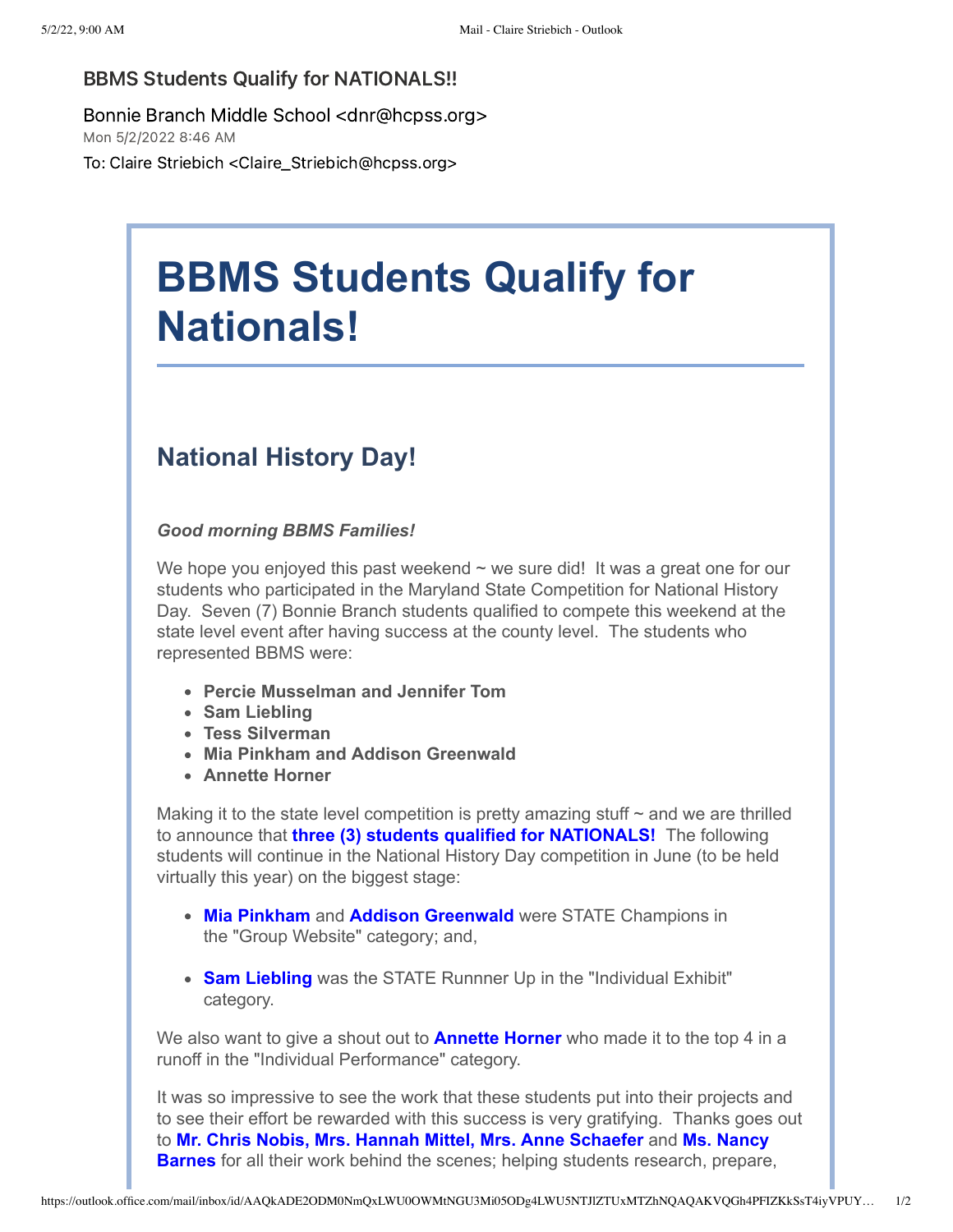## BBMS Students Qualify for NATIONALS!!

Bonnie Branch Middle School <dnr@hcpss.org> Mon 5/2/2022 8:46 AM

To: Claire Striebich <Claire\_Striebich@hcpss.org>

## **BBMS Students Qualify for Nationals!**

## **National History Day!**

*Good morning BBMS Families!*

We hope you enjoyed this past weekend  $\sim$  we sure did! It was a great one for our students who participated in the Maryland State Competition for National History Day. Seven (7) Bonnie Branch students qualified to compete this weekend at the state level event after having success at the county level. The students who represented BBMS were:

- **Percie Musselman and Jennifer Tom**
- **Sam Liebling**
- **Tess Silverman**
- **Mia Pinkham and Addison Greenwald**
- **Annette Horner**

Making it to the state level competition is pretty amazing stuff  $\sim$  and we are thrilled to announce that **three (3) students qualified for NATIONALS!** The following students will continue in the National History Day competition in June (to be held virtually this year) on the biggest stage:

- **Mia Pinkham** and **Addison Greenwald** were STATE Champions in the "Group Website" category; and,
- **Sam Liebling** was the STATE Runnner Up in the "Individual Exhibit" category.

We also want to give a shout out to **Annette Horner** who made it to the top 4 in a runoff in the "Individual Performance" category.

It was so impressive to see the work that these students put into their projects and to see their effort be rewarded with this success is very gratifying. Thanks goes out to **Mr. Chris Nobis, Mrs. Hannah Mittel, Mrs. Anne Schaefer** and **Ms. Nancy Barnes** for all their work behind the scenes; helping students research, prepare,